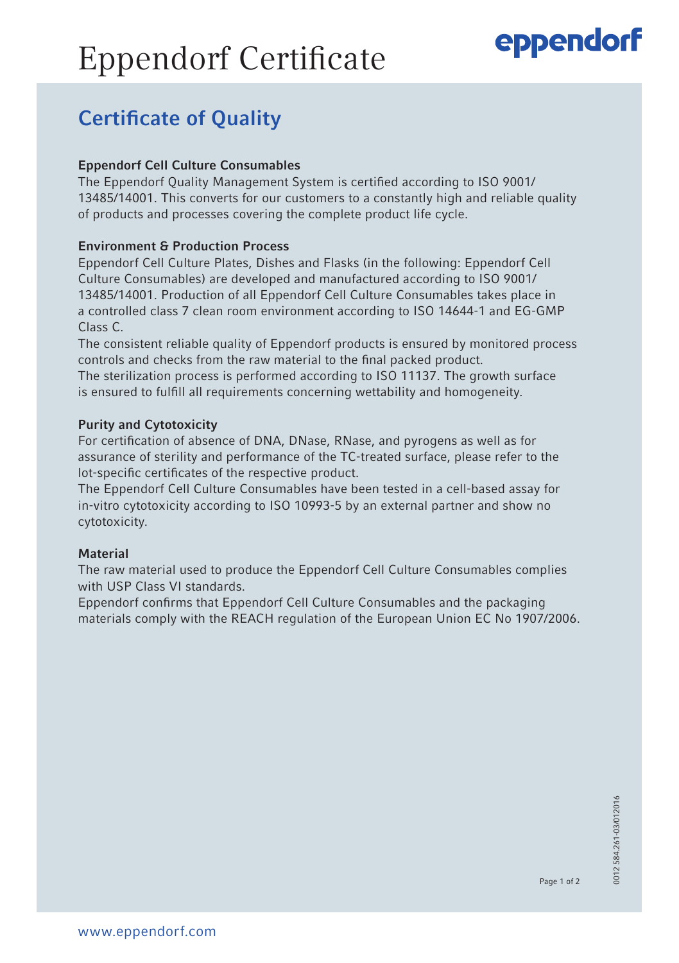# Eppendorf Certificate

### eppendorf

### Certificate of Quality

### Eppendorf Cell Culture Consumables

The Eppendorf Quality Management System is certified according to ISO 9001/ 13485/14001. This converts for our customers to a constantly high and reliable quality of products and processes covering the complete product life cycle.

### Environment & Production Process

Eppendorf Cell Culture Plates, Dishes and Flasks (in the following: Eppendorf Cell Culture Consumables) are developed and manufactured according to ISO 9001/ 13485/14001. Production of all Eppendorf Cell Culture Consumables takes place in a controlled class 7 clean room environment according to ISO 14644-1 and EG-GMP Class C.

The consistent reliable quality of Eppendorf products is ensured by monitored process controls and checks from the raw material to the final packed product.

The sterilization process is performed according to ISO 11137. The growth surface is ensured to fulfill all requirements concerning wettability and homogeneity.

### Purity and Cytotoxicity

For certification of absence of DNA, DNase, RNase, and pyrogens as well as for assurance of sterility and performance of the TC-treated surface, please refer to the lot-specific certificates of the respective product.

The Eppendorf Cell Culture Consumables have been tested in a cell-based assay for in-vitro cytotoxicity according to ISO 10993-5 by an external partner and show no cytotoxicity.

### **Material**

The raw material used to produce the Eppendorf Cell Culture Consumables complies with USP Class VI standards.

Eppendorf confirms that Eppendorf Cell Culture Consumables and the packaging materials comply with the REACH regulation of the European Union EC No 1907/2006.

Page 1 of 2